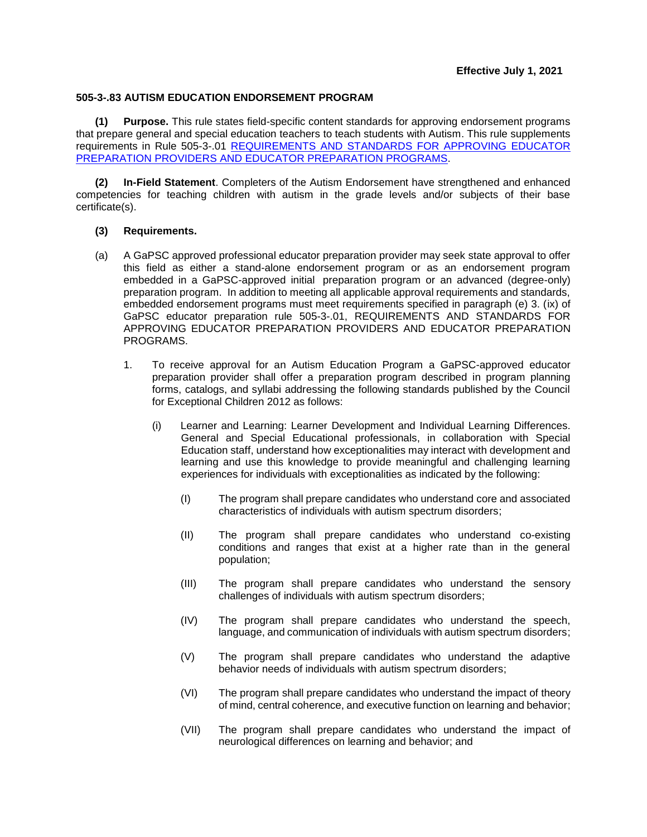## **505-3-.83 AUTISM EDUCATION ENDORSEMENT PROGRAM**

**(1) Purpose.** This rule states field-specific content standards for approving endorsement programs that prepare general and special education teachers to teach students with Autism. This rule supplements requirements in [Rule 505-3-.01 REQUIREMENTS AND STANDARDS FOR APPROVING](https://www.gapsc.com/Rules/Current/EducatorPreparation/505-3-.01.pdf?dt=%3C%25#Eval() EDUCATOR PREPARATION PROVIDERS [AND EDUCATOR PREPARATION PROGRAMS.](https://www.gapsc.com/Rules/Current/EducatorPreparation/505-3-.01.pdf?dt=%3C%25#Eval()

**(2) In-Field Statement**. Completers of the Autism Endorsement have strengthened and enhanced competencies for teaching children with autism in the grade levels and/or subjects of their base certificate(s).

## **(3) Requirements.**

- (a) A GaPSC approved professional educator preparation provider may seek state approval to offer this field as either a stand-alone endorsement program or as an endorsement program embedded in a GaPSC-approved initial preparation program or an advanced (degree-only) preparation program. In addition to meeting all applicable approval requirements and standards, embedded endorsement programs must meet requirements specified in paragraph (e) 3. (ix) of GaPSC educator preparation rule 505-3-.01, REQUIREMENTS AND STANDARDS FOR APPROVING EDUCATOR PREPARATION PROVIDERS AND EDUCATOR PREPARATION PROGRAMS.
	- 1. To receive approval for an Autism Education Program a GaPSC-approved educator preparation provider shall offer a preparation program described in program planning forms, catalogs, and syllabi addressing the following standards published by the Council for Exceptional Children 2012 as follows:
		- (i) Learner and Learning: Learner Development and Individual Learning Differences. General and Special Educational professionals, in collaboration with Special Education staff, understand how exceptionalities may interact with development and learning and use this knowledge to provide meaningful and challenging learning experiences for individuals with exceptionalities as indicated by the following:
			- (I) The program shall prepare candidates who understand core and associated characteristics of individuals with autism spectrum disorders;
			- (II) The program shall prepare candidates who understand co-existing conditions and ranges that exist at a higher rate than in the general population;
			- (III) The program shall prepare candidates who understand the sensory challenges of individuals with autism spectrum disorders;
			- (IV) The program shall prepare candidates who understand the speech, language, and communication of individuals with autism spectrum disorders;
			- (V) The program shall prepare candidates who understand the adaptive behavior needs of individuals with autism spectrum disorders;
			- (VI) The program shall prepare candidates who understand the impact of theory of mind, central coherence, and executive function on learning and behavior;
			- (VII) The program shall prepare candidates who understand the impact of neurological differences on learning and behavior; and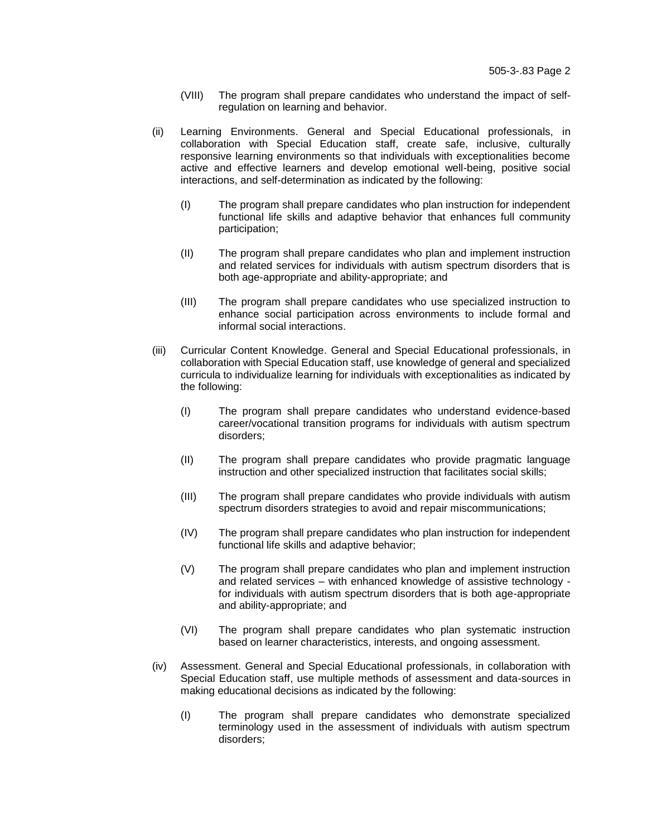- (VIII) The program shall prepare candidates who understand the impact of selfregulation on learning and behavior.
- (ii) Learning Environments. General and Special Educational professionals, in collaboration with Special Education staff, create safe, inclusive, culturally responsive learning environments so that individuals with exceptionalities become active and effective learners and develop emotional well-being, positive social interactions, and self-determination as indicated by the following:
	- (I) The program shall prepare candidates who plan instruction for independent functional life skills and adaptive behavior that enhances full community participation;
	- (II) The program shall prepare candidates who plan and implement instruction and related services for individuals with autism spectrum disorders that is both age-appropriate and ability-appropriate; and
	- (III) The program shall prepare candidates who use specialized instruction to enhance social participation across environments to include formal and informal social interactions.
- (iii) Curricular Content Knowledge. General and Special Educational professionals, in collaboration with Special Education staff, use knowledge of general and specialized curricula to individualize learning for individuals with exceptionalities as indicated by the following:
	- (I) The program shall prepare candidates who understand evidence-based career/vocational transition programs for individuals with autism spectrum disorders;
	- (II) The program shall prepare candidates who provide pragmatic language instruction and other specialized instruction that facilitates social skills;
	- (III) The program shall prepare candidates who provide individuals with autism spectrum disorders strategies to avoid and repair miscommunications;
	- (IV) The program shall prepare candidates who plan instruction for independent functional life skills and adaptive behavior;
	- (V) The program shall prepare candidates who plan and implement instruction and related services – with enhanced knowledge of assistive technology for individuals with autism spectrum disorders that is both age-appropriate and ability-appropriate; and
	- (VI) The program shall prepare candidates who plan systematic instruction based on learner characteristics, interests, and ongoing assessment.
- (iv) Assessment. General and Special Educational professionals, in collaboration with Special Education staff, use multiple methods of assessment and data-sources in making educational decisions as indicated by the following:
	- (I) The program shall prepare candidates who demonstrate specialized terminology used in the assessment of individuals with autism spectrum disorders;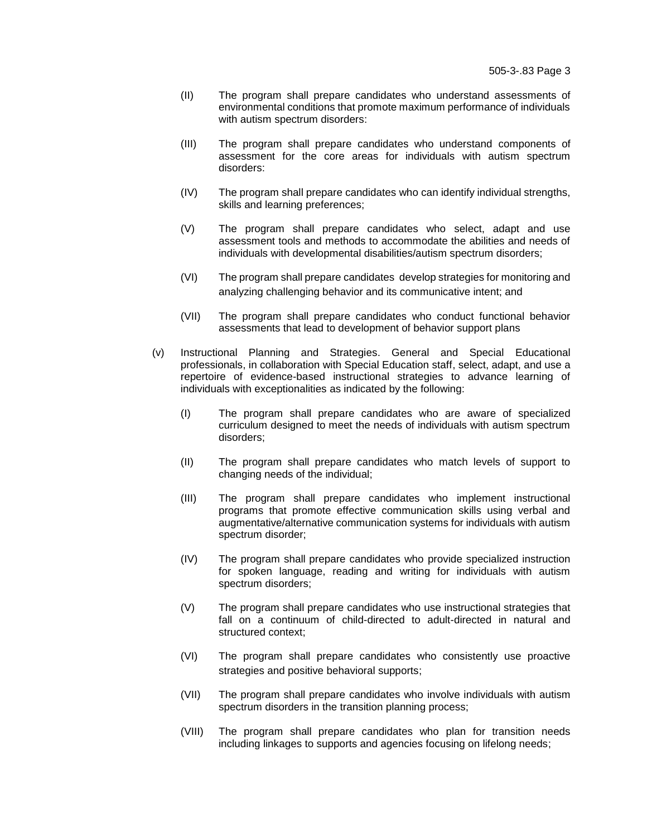- (II) The program shall prepare candidates who understand assessments of environmental conditions that promote maximum performance of individuals with autism spectrum disorders:
- (III) The program shall prepare candidates who understand components of assessment for the core areas for individuals with autism spectrum disorders:
- (IV) The program shall prepare candidates who can identify individual strengths, skills and learning preferences;
- (V) The program shall prepare candidates who select, adapt and use assessment tools and methods to accommodate the abilities and needs of individuals with developmental disabilities/autism spectrum disorders;
- (VI) The program shall prepare candidates develop strategies for monitoring and analyzing challenging behavior and its communicative intent; and
- (VII) The program shall prepare candidates who conduct functional behavior assessments that lead to development of behavior support plans
- (v) Instructional Planning and Strategies. General and Special Educational professionals, in collaboration with Special Education staff, select, adapt, and use a repertoire of evidence-based instructional strategies to advance learning of individuals with exceptionalities as indicated by the following:
	- (I) The program shall prepare candidates who are aware of specialized curriculum designed to meet the needs of individuals with autism spectrum disorders;
	- (II) The program shall prepare candidates who match levels of support to changing needs of the individual;
	- (III) The program shall prepare candidates who implement instructional programs that promote effective communication skills using verbal and augmentative/alternative communication systems for individuals with autism spectrum disorder;
	- (IV) The program shall prepare candidates who provide specialized instruction for spoken language, reading and writing for individuals with autism spectrum disorders;
	- (V) The program shall prepare candidates who use instructional strategies that fall on a continuum of child-directed to adult-directed in natural and structured context;
	- (VI) The program shall prepare candidates who consistently use proactive strategies and positive behavioral supports;
	- (VII) The program shall prepare candidates who involve individuals with autism spectrum disorders in the transition planning process;
	- (VIII) The program shall prepare candidates who plan for transition needs including linkages to supports and agencies focusing on lifelong needs;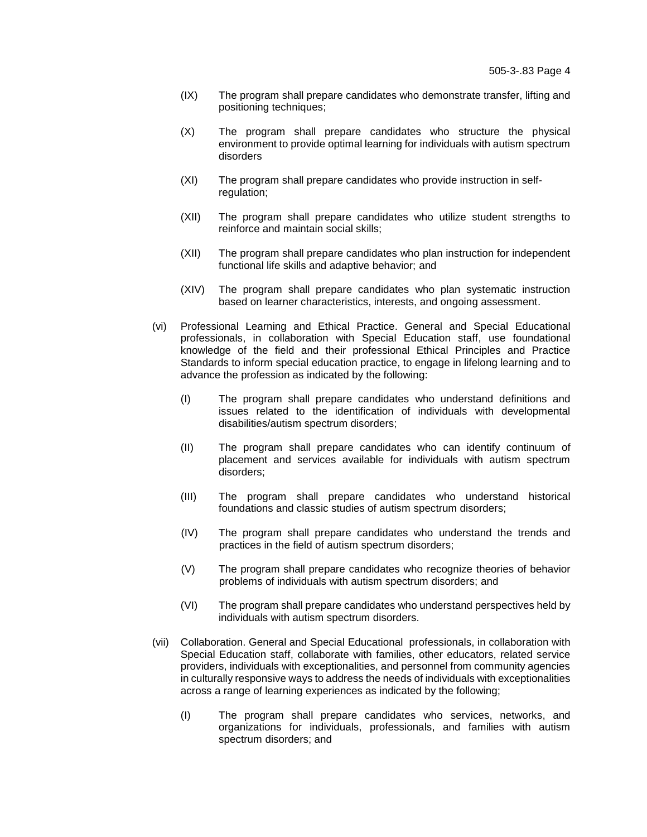- (IX) The program shall prepare candidates who demonstrate transfer, lifting and positioning techniques;
- (X) The program shall prepare candidates who structure the physical environment to provide optimal learning for individuals with autism spectrum disorders
- (XI) The program shall prepare candidates who provide instruction in selfregulation;
- (XII) The program shall prepare candidates who utilize student strengths to reinforce and maintain social skills;
- (XII) The program shall prepare candidates who plan instruction for independent functional life skills and adaptive behavior; and
- (XIV) The program shall prepare candidates who plan systematic instruction based on learner characteristics, interests, and ongoing assessment.
- (vi) Professional Learning and Ethical Practice. General and Special Educational professionals, in collaboration with Special Education staff, use foundational knowledge of the field and their professional Ethical Principles and Practice Standards to inform special education practice, to engage in lifelong learning and to advance the profession as indicated by the following:
	- (I) The program shall prepare candidates who understand definitions and issues related to the identification of individuals with developmental disabilities/autism spectrum disorders;
	- (II) The program shall prepare candidates who can identify continuum of placement and services available for individuals with autism spectrum disorders;
	- (III) The program shall prepare candidates who understand historical foundations and classic studies of autism spectrum disorders;
	- (IV) The program shall prepare candidates who understand the trends and practices in the field of autism spectrum disorders;
	- (V) The program shall prepare candidates who recognize theories of behavior problems of individuals with autism spectrum disorders; and
	- (VI) The program shall prepare candidates who understand perspectives held by individuals with autism spectrum disorders.
- (vii) Collaboration. General and Special Educational professionals, in collaboration with Special Education staff, collaborate with families, other educators, related service providers, individuals with exceptionalities, and personnel from community agencies in culturally responsive ways to address the needs of individuals with exceptionalities across a range of learning experiences as indicated by the following;
	- (I) The program shall prepare candidates who services, networks, and organizations for individuals, professionals, and families with autism spectrum disorders; and